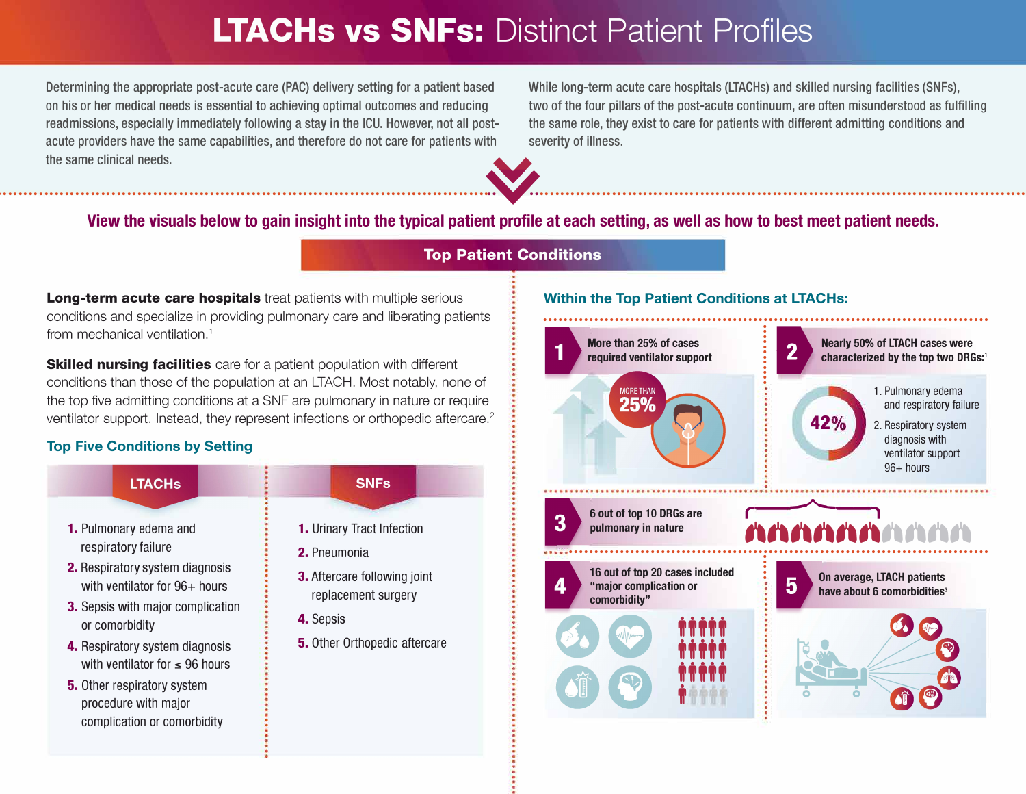## **LTACHs vs SNFs: Distinct Patient Profiles**

Determining the appropriate post-acute care (PAC) delivery setting for a patient based While long-term acute care hospitals (LTACHs) and skilled nursing facilities (SNFs), readmissions, especially immediately following a stay in the ICU. However, not all post-<br>the same role, they exist to care for patients with different admitting conditions and acute providers have the same capabilities, and therefore do not care for patients with severity of illness.

on his or her medical needs is essential to achieving optimal outcomes and reducing two of the four pillars of the post-acute continuum, are often misunderstood as fulfilling



# The same clinical needs.<br> **Example 1999**<br> **Example 1999**<br> **Example 1999**<br> **Example 1999**<br> **Example 1999**<br> **Example 1999**<br> **Example 1999**<br> **Example 1999**<br> **Example 1999**<br> **Example 1999**<br> **Example 1999**<br> **Example 1999**<br> **Exa**

### **Top Patient Conditions**

**Long-term acute care hospitals** treat patients with multiple serious conditions and specialize in providing pulmonary care and liberating patients from mechanical ventilation. 1

**Skilled nursing facilities** care for a patient population with different conditions than those of the population at an LTACH. Most notably, none of the top five admitting conditions at a SNF are pulmonary in nature or require ventilator support. Instead, they represent infections or orthopedic aftercare.<sup>2</sup>

#### **Top Five Conditions by Setting**



#### **Within the Top Patient Conditions at LTACHs:**